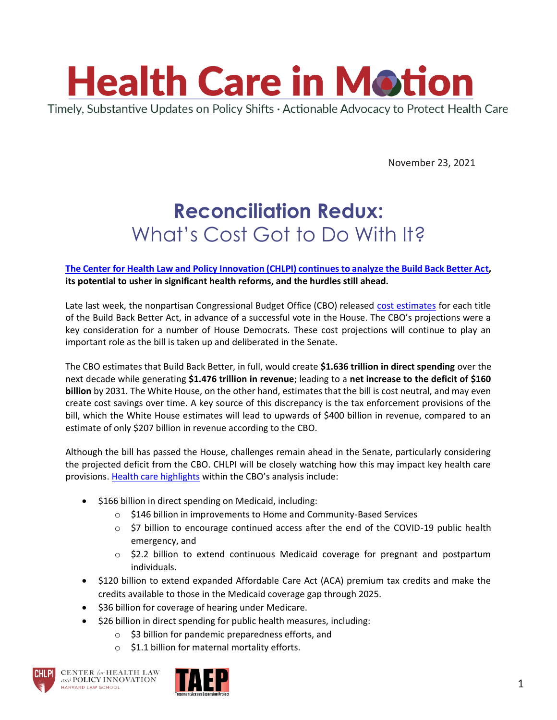

November 23, 2021

## **Reconciliation Redux:**  What's Cost Got to Do With It?

## **[The Center for Health Law and Policy Innovation \(CHLPI\) continues to analyze the Build Back Better Act,](https://urldefense.proofpoint.com/v2/url?u=https-3A__www.chlpi.org_wp-2Dcontent_uploads_2013_12_HCIM-5F11-5F19-5F21.pdf-3FeType-3DEmailBlastContent-26eId-3D5e44cb21-2D32a1-2D4dd0-2Db2c2-2D8dfb705bce66&d=DwMFaQ&c=WO-RGvefibhHBZq3fL85hQ&r=_FfofB63f28hUv28p0vlVDiihL__tjEEXNOW1kWWE5Q&m=ftvg01lx9IslyAhnkPUMvUof1fWMO1o6T05Ll8L8pDw2h-cOQk5TskWTIEqu-40T&s=yEvcLxaOlLrEWBhaRGQeYeKwLFDiteS8dHcdB7ShhJs&e=) its potential to usher in significant health reforms, and the hurdles still ahead.**

Late last week, the nonpartisan Congressional Budget Office (CBO) released [cost estimates](https://www.cbo.gov/topics/budget/fall-2021-reconciliation) for each title of the Build Back Better Act, in advance of a successful vote in the House. The CBO's projections were a key consideration for a number of House Democrats. These cost projections will continue to play an important role as the bill is taken up and deliberated in the Senate.

The CBO estimates that Build Back Better, in full, would create **\$1.636 trillion in direct spending** over the next decade while generating **\$1.476 trillion in revenue**; leading to a **net increase to the deficit of \$160 billion** by 2031. The White House, on the other hand, estimates that the bill is cost neutral, and may even create cost savings over time. A key source of this discrepancy is the tax enforcement provisions of the bill, which the White House estimates will lead to upwards of \$400 billion in revenue, compared to an estimate of only \$207 billion in revenue according to the CBO.

Although the bill has passed the House, challenges remain ahead in the Senate, particularly considering the projected deficit from the CBO. CHLPI will be closely watching how this may impact key health care provisions. [Health care highlights](https://www.cbo.gov/publication/57623) within the CBO's analysis include:

- \$166 billion in direct spending on Medicaid, including:
	- o \$146 billion in improvements to Home and Community-Based Services
	- $\circ$  \$7 billion to encourage continued access after the end of the COVID-19 public health emergency, and
	- o \$2.2 billion to extend continuous Medicaid coverage for pregnant and postpartum individuals.
- \$120 billion to extend expanded Affordable Care Act (ACA) premium tax credits and make the credits available to those in the Medicaid coverage gap through 2025.
- \$36 billion for coverage of hearing under Medicare.
- \$26 billion in direct spending for public health measures, including:
	- o \$3 billion for pandemic preparedness efforts, and
	- $\circ$  \$1.1 billion for maternal mortality efforts.